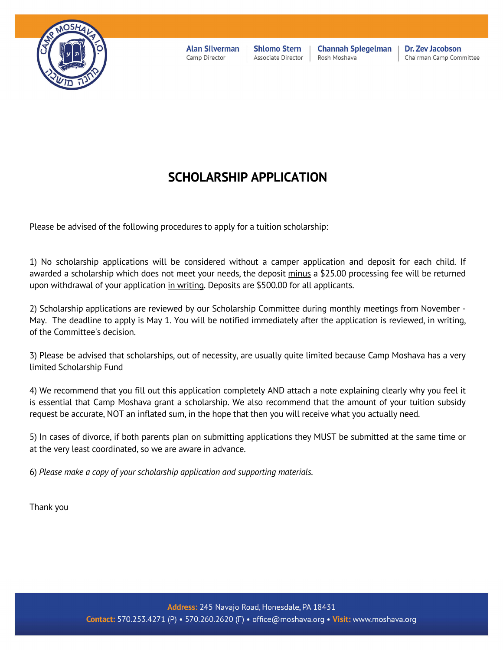

**Alan Silverman** Camp Director

**Shlomo Stern** Associate Director

**Channah Spiegelman** Rosh Moshava

Dr. Zev Jacobson Chairman Camp Committee

# **SCHOLARSHIP APPLICATION**

Please be advised of the following procedures to apply for a tuition scholarship:

1) No scholarship applications will be considered without a camper application and deposit for each child. If awarded a scholarship which does not meet your needs, the deposit minus a \$25.00 processing fee will be returned upon withdrawal of your application in writing. Deposits are \$500.00 for all applicants.

2) Scholarship applications are reviewed by our Scholarship Committee during monthly meetings from November - May. The deadline to apply is May 1. You will be notified immediately after the application is reviewed, in writing, of the Committee's decision.

3) Please be advised that scholarships, out of necessity, are usually quite limited because Camp Moshava has a very limited Scholarship Fund

4) We recommend that you fill out this application completely AND attach a note explaining clearly why you feel it is essential that Camp Moshava grant a scholarship. We also recommend that the amount of your tuition subsidy request be accurate, NOT an inflated sum, in the hope that then you will receive what you actually need.

5) In cases of divorce, if both parents plan on submitting applications they MUST be submitted at the same time or at the very least coordinated, so we are aware in advance.

6) *Please make a copy of your scholarship application and supporting materials.*

Thank you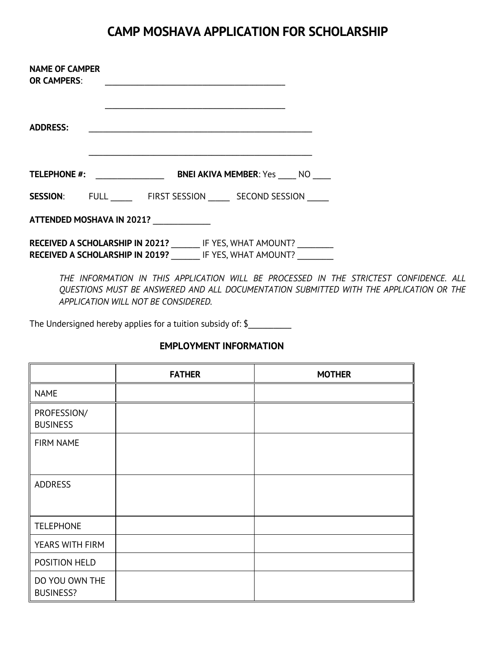# **CAMP MOSHAVA APPLICATION FOR SCHOLARSHIP**

| <b>NAME OF CAMPER</b><br><b>OR CAMPERS:</b>                                                                         |                                                      |                                                   |  |  |
|---------------------------------------------------------------------------------------------------------------------|------------------------------------------------------|---------------------------------------------------|--|--|
| <b>ADDRESS:</b>                                                                                                     |                                                      |                                                   |  |  |
| <b>TELEPHONE #:</b>                                                                                                 | <u> 1990 - Jan Barbara Barat, politik e</u> ta eta p | <b>BNEI AKIVA MEMBER: Yes NO</b>                  |  |  |
|                                                                                                                     |                                                      | <b>SESSION:</b> FULL FIRST SESSION SECOND SESSION |  |  |
| ATTENDED MOSHAVA IN 2021?                                                                                           |                                                      |                                                   |  |  |
| RECEIVED A SCHOLARSHIP IN 2021? IF YES, WHAT AMOUNT?<br><b>RECEIVED A SCHOLARSHIP IN 2019?</b> IF YES, WHAT AMOUNT? |                                                      |                                                   |  |  |

*THE INFORMATION IN THIS APPLICATION WILL BE PROCESSED IN THE STRICTEST CONFIDENCE. ALL QUESTIONS MUST BE ANSWERED AND ALL DOCUMENTATION SUBMITTED WITH THE APPLICATION OR THE APPLICATION WILL NOT BE CONSIDERED.*

The Undersigned hereby applies for a tuition subsidy of: \$\_\_\_\_\_\_\_\_\_\_\_\_\_\_\_\_\_\_\_\_\_\_

|                                    | <b>FATHER</b> | <b>MOTHER</b> |
|------------------------------------|---------------|---------------|
| <b>NAME</b>                        |               |               |
| PROFESSION/<br><b>BUSINESS</b>     |               |               |
| FIRM NAME                          |               |               |
| <b>ADDRESS</b>                     |               |               |
| <b>TELEPHONE</b>                   |               |               |
| YEARS WITH FIRM                    |               |               |
| POSITION HELD                      |               |               |
| DO YOU OWN THE<br><b>BUSINESS?</b> |               |               |

### **EMPLOYMENT INFORMATION**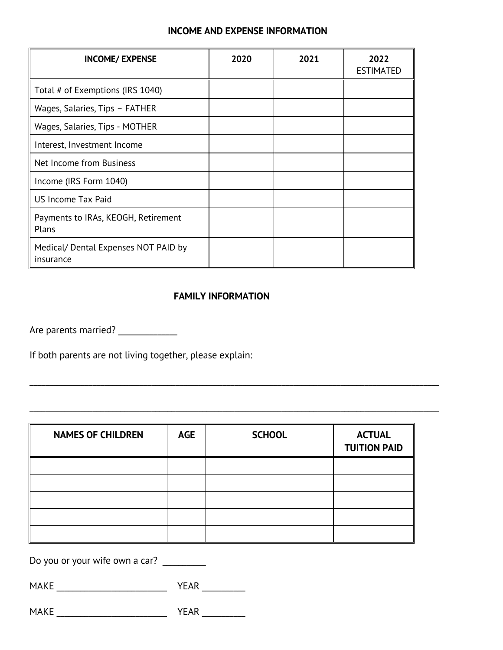#### **INCOME AND EXPENSE INFORMATION**

| <b>INCOME/ EXPENSE</b>                            | 2020 | 2021 | 2022<br><b>ESTIMATED</b> |
|---------------------------------------------------|------|------|--------------------------|
| Total # of Exemptions (IRS 1040)                  |      |      |                          |
| Wages, Salaries, Tips - FATHER                    |      |      |                          |
| Wages, Salaries, Tips - MOTHER                    |      |      |                          |
| Interest, Investment Income                       |      |      |                          |
| Net Income from Business                          |      |      |                          |
| Income (IRS Form 1040)                            |      |      |                          |
| US Income Tax Paid                                |      |      |                          |
| Payments to IRAs, KEOGH, Retirement<br>Plans      |      |      |                          |
| Medical/ Dental Expenses NOT PAID by<br>insurance |      |      |                          |

### **FAMILY INFORMATION**

\_\_\_\_\_\_\_\_\_\_\_\_\_\_\_\_\_\_\_\_\_\_\_\_\_\_\_\_\_\_\_\_\_\_\_\_\_\_\_\_\_\_\_\_\_\_\_\_\_\_\_\_\_\_\_\_\_\_\_\_\_\_\_\_\_\_\_\_\_\_\_\_\_\_\_\_\_\_\_\_\_\_\_\_\_\_\_\_\_\_\_\_\_\_\_\_\_\_\_\_\_\_\_\_

Are parents married?

If both parents are not living together, please explain:

| <b>NAMES OF CHILDREN</b> | <b>AGE</b> | <b>SCHOOL</b> | <b>ACTUAL</b><br><b>TUITION PAID</b> |
|--------------------------|------------|---------------|--------------------------------------|
|                          |            |               |                                      |
|                          |            |               |                                      |
|                          |            |               |                                      |
|                          |            |               |                                      |
|                          |            |               |                                      |

\_\_\_\_\_\_\_\_\_\_\_\_\_\_\_\_\_\_\_\_\_\_\_\_\_\_\_\_\_\_\_\_\_\_\_\_\_\_\_\_\_\_\_\_\_\_\_\_\_\_\_\_\_\_\_\_\_\_\_\_\_\_\_\_\_\_\_\_\_\_\_\_\_\_\_\_\_\_\_\_\_\_\_\_\_\_\_\_\_\_\_\_\_\_\_\_\_\_\_\_\_\_\_\_

Do you or your wife own a car? \_\_\_\_\_\_\_\_\_\_

MAKE \_\_\_\_\_\_\_\_\_\_\_\_\_\_\_\_\_\_\_\_\_\_\_\_\_\_\_\_ YEAR \_\_\_\_\_\_\_\_\_\_\_

 $\mathsf{MAKE}$   $\qquad \qquad \mathsf{YEAR}$   $\qquad \qquad$